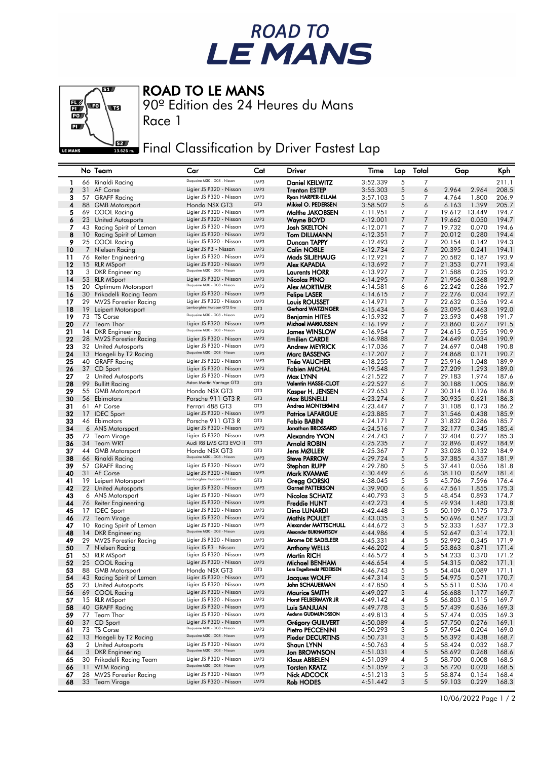



## ROAD TO LE MANS

90º Edition des 24 Heures du Mans

Final Classification by Driver Fastest Lap

|             |                 | No Team                                     | Car                                                    | Cat          | Driver                                  | Time                 | Lap              | Total          | Gap              |                | Kph            |
|-------------|-----------------|---------------------------------------------|--------------------------------------------------------|--------------|-----------------------------------------|----------------------|------------------|----------------|------------------|----------------|----------------|
| 1           |                 | 66 Rinaldi Racing                           | Duqueine M30 - D08 - Nissan                            | LMP3         | <b>Daniel KEILWITZ</b>                  | 3:52.339             | 5                | 7              |                  |                | 211.1          |
| $\mathbf 2$ |                 | 31 AF Corse                                 | Ligier JS P320 - Nissan                                | LMP3         | <b>Trenton ESTEP</b>                    | 3:55.303             | 5                | 6              | 2.964            | 2.964          | 208.5          |
| 3           |                 | 57 GRAFF Racing                             | Ligier JS P320 - Nissan                                | LMP3         | Ryan HARPER-ELLAM                       | 3:57.103             | 5                | 7              | 4.764            | 1,800          | 206.9          |
| 4           |                 | 88 GMB Motorsport                           | Honda NSX GT3                                          | GT3          | Mikkel O. PEDERSEN                      | 3:58.502             | 5                | 6              | 6.163            | 1.399          | 205.7          |
| 5           |                 | 69 COOL Racing                              | Ligier JS P320 - Nissan                                | LMP3         | Malthe JAKOBSEN                         | 4:11.951             | 7                | 7              | 19.612           | 13.449         | 194.7          |
| 6           | 23              | <b>United Autosports</b>                    | Ligier JS P320 - Nissan                                | LMP3         | <b>Wayne BOYD</b>                       | 4:12.001             | 7                | $\overline{7}$ | 19.662           | 0.050          | 194.7          |
| 7           | 43              | Racing Spirit of Leman                      | Ligier JS P320 - Nissan                                | LMP3         | <b>Josh SKELTON</b>                     | 4:12.071             | 7                | $\overline{7}$ | 19.732           | 0.070          | 194.6          |
| 8           | 10 <sup>°</sup> | Racing Spirit of Leman                      | Ligier JS P320 - Nissan                                | LMP3         | <b>Tom DILLMANN</b>                     | 4:12.351             | 7                | $\overline{7}$ | 20.012           | 0.280          | 194.4          |
| 9           |                 | 25 COOL Racing                              | Ligier JS P320 - Nissan                                | LMP3         | Duncan TAPPY                            | 4:12.493             | 7                | 7              | 20.154           | 0.142          | 194.3          |
| 10          | $\overline{7}$  | Nielsen Racing                              | Ligier JS P3 - Nissan                                  | LMP3         | <b>Colin NOBLE</b>                      | 4:12.734             | $\overline{2}$   | 7              | 20.395           | 0.241          | 194.1          |
| 11          |                 | 76 Reiter Engineering                       | Ligier JS P320 - Nissan                                | LMP3         | Mads SILJEHAUG                          | 4:12.921             | $\overline{7}$   | $\overline{7}$ | 20.582           | 0.187          | 193.9          |
| 12          |                 | 15 RLR MSport                               | Ligier JS P320 - Nissan<br>Duqueine M30 - D08 - Nissan | LMP3         | Alex KAPADIA                            | 4:13.692             | 7                | $\overline{7}$ | 21.353           | 0.771          | 193.4          |
| 13          |                 | 3 DKR Engineering                           |                                                        | LMP3         | <b>Laurents HORR</b>                    | 4:13.927             | 7                | 7              | 21.588           | 0.235          | 193.2          |
| 14          |                 | 53 RLR MSport                               | Ligier JS P320 - Nissan<br>Duqueine M30 - D08 - Nissan | LMP3         | Nicolas PINO                            | 4:14.295             | 7                | 7              | 21.956           | 0.368          | 192.9          |
| 15          |                 | 20 Optimum Motorsport                       | Ligier JS P320 - Nissan                                | LMP3<br>LMP3 | <b>Alex MORTIMER</b>                    | 4:14.581             | 6                | 6              | 22.242           | 0.286          | 192.7          |
| 16<br>17    |                 | 30 Frikadelli Racing Team                   | Ligier JS P320 - Nissan                                | LMP3         | <b>Felipe LASER</b>                     | 4:14.615             | 7                | 7<br>7         | 22.276<br>22.632 | 0.034<br>0.356 | 192.7          |
| 18          | 29<br>19        | MV2S Forestier Racing<br>Leipert Motorsport | Lamborghini Huracan GT3 Evo                            | GT3          | Louis ROUSSET<br>Gerhard WATZINGER      | 4:14.971<br>4:15.434 | 7<br>5           | 6              | 23.095           | 0.463          | 192.4<br>192.0 |
| 19          |                 | 73 TS Corse                                 | Duqueine M30 - D08 - Nissan                            | LMP3         | Benjamin HITES                          | 4:15.932             | 7                | $\overline{7}$ | 23.593           | 0.498          | 191.7          |
| 20          | 77              | Team Thor                                   | Ligier JS P320 - Nissan                                | LMP3         | Michael MARKUSSEN                       | 4:16.199             | 7                | $\overline{7}$ | 23.860           | 0.267          | 191.5          |
| 21          |                 | 14 DKR Engineering                          | Duqueine M30 - D08 - Nissan                            | LMP3         | <b>James WINSLOW</b>                    | 4:16.954             | 7                | 7              | 24.615           | 0.755          | 190.9          |
| 22          |                 | 28 MV2S Forestier Racing                    | Ligier JS P320 - Nissan                                | LMP3         | <b>Emilien CARDE</b>                    | 4:16.988             | 7                | 7              | 24.649           | 0.034          | 190.9          |
| 23          |                 | 32 United Autosports                        | Ligier JS P320 - Nissan                                | LMP3         | <b>Andrew MEYRICK</b>                   | 4:17.036             | 7                | 7              | 24.697           | 0.048          | 190.8          |
| 24          |                 | 13 Haegeli by T2 Racing                     | Duqueine M30 - D08 - Nissan                            | LMP3         | <b>Marc BASSENG</b>                     | 4:17.207             | 7                | $\overline{7}$ | 24.868           | 0.171          | 190.7          |
| 25          |                 | 40 GRAFF Racing                             | Ligier JS P320 - Nissan                                | LMP3         | Théo VAUCHER                            | 4:18.255             | 7                | 7              | 25.916           | 1.048          | 189.9          |
| 26          |                 | 37 CD Sport                                 | Ligier JS P320 - Nissan                                | LMP3         | Fabien MICHAL                           | 4:19.548             | 7                | 7              | 27.209           | 1.293          | 189.0          |
| 27          |                 | 2 United Autosports                         | Ligier JS P320 - Nissan                                | LMP3         | Max LYNN                                | 4:21.522             | 7                | $\overline{7}$ | 29.183           | 1.974          | 187.6          |
| 28          | 99              | <b>Bullitt Racing</b>                       | Aston Martin Vantage GT3                               | GT3          | <b>Valentin HASSE-CLOT</b>              | 4:22.527             | 6                | $\overline{7}$ | 30.188           | 1.005          | 186.9          |
| 29          |                 | 55 GMB Motorsport                           | Honda NSX GT3                                          | GT3          | Kasper H. JENSEN                        | 4:22.653             | 7                | 7              | 30.314           | 0.126          | 186.8          |
| 30          |                 | 56 Ebimotors                                | Porsche 911 GT3 R                                      | GT3          | Max BUSNELLI                            | 4:23.274             | 6                | $\overline{7}$ | 30.935           | 0.621          | 186.3          |
| 31          |                 | 61 AF Corse                                 | Ferrari 488 GT3                                        | GT3          | Andrea MONTERMINI                       | 4:23.447             | 7                | 7              | 31.108           | 0.173          | 186.2          |
| 32          |                 | 17 IDEC Sport                               | Ligier JS P320 - Nissan                                | LMP3         | <b>Patrice LAFARGUE</b>                 | 4:23.885             | 7                | $\overline{7}$ | 31.546           | 0.438          | 185.9          |
| 33          |                 | 46 Ebimotors                                | Porsche 911 GT3 R                                      | GT3          | Fabio BABINI                            | 4:24.171             | 7                | 7              | 31.832           | 0.286          | 185.7          |
| 34          |                 | 6 ANS Motorsport                            | Ligier JS P320 - Nissan                                | LMP3         | Jonathan BROSSARD                       | 4:24.516             | 7                | 7              | 32.177           | 0.345          | 185.4          |
| 35          |                 | 72 Team Virage                              | Ligier JS P320 - Nissan                                | LMP3         | Alexandre YVON                          | 4:24.743             | 7                | $\overline{7}$ | 32.404           | 0.227          | 185.3          |
| 36<br>37    |                 | 34 Team WRT                                 | Audi R8 LMS GT3 EVO II                                 | GT3<br>GT3   | <b>Arnold ROBIN</b>                     | 4:25.235             | 7                | $\overline{7}$ | 32.896           | 0.492          | 184.9          |
| 38          |                 | 44 GMB Motorsport                           | Honda NSX GT3<br>Duqueine M30 - D08 - Nissan           | LMP3         | Jens MØLLER<br><b>Steve PARROW</b>      | 4:25.367<br>4:29.724 | 7<br>5           | 7<br>5         | 33.028<br>37.385 | 0.132<br>4.357 | 184.9<br>181.9 |
| 39          |                 | 66 Rinaldi Racing<br>57 GRAFF Racing        | Ligier JS P320 - Nissan                                | LMP3         | Stephan RUPP                            | 4:29.780             | 5                | 5              | 37.441           | 0.056          | 181.8          |
| 40          |                 | 31 AF Corse                                 | Ligier JS P320 - Nissan                                | LMP3         | Mark KVAMME                             | 4:30.449             | 6                | 6              | 38.110           | 0.669          | 181.4          |
| 41          |                 | 19 Leipert Motorsport                       | Lamborghini Huracan GT3 Evo                            | GT3          | Gregg GORSKI                            | 4:38.045             | 5                | 5              | 45.706           | 7.596          | 176.4          |
| 42          |                 | 22 United Autosports                        | Ligier JS P320 - Nissan                                | LMP3         | <b>Garnet PATTERSON</b>                 | 4:39.900             | 6                | 6              | 47.561           | 1.855          | 175.3          |
| 43          |                 | 6 ANS Motorsport                            | Ligier JS P320 - Nissan                                | LMP3         | Nicolas SCHATZ                          | 4:40.793             | 3                | 5              | 48.454           | 0.893          | 174.7          |
| 44          | 76              | Reiter Engineering                          | Ligier JS P320 - Nissan                                | LMP3         | <b>Freddie HUNT</b>                     | 4:42.273             | $\overline{4}$   | 5              | 49.934           | 1.480          | 173.8          |
| 45          |                 | 17 IDEC Sport                               | Ligier JS P320 - Nissan                                | LMP3         | Dino LUNARDI                            | 4:42.448             | 3                | 5              | 50.109           | 0.175          | 173.7          |
| 46          |                 | 72 Team Virage                              | Ligier JS P320 - Nissan                                | LMP3         | <b>Mathis POULET</b>                    | 4:43.035             | 3                | 5              | 50.696           | 0.587          | 173.3          |
| 47          | 10              | Racing Spirit of Leman                      | Ligier JS P320 - Nissan                                | LMP3         | Alexander MATTSCHULL                    | 4:44.672             | 3                | 5              | 52.333           | 1.637          | 172.3          |
| 48          |                 | 14 DKR Engineering                          | Duqueine M30 - D08 - Nissan                            | LMP3         | Alexander BUKHANTSOV                    | 4:44.986             | 4                | 5              | 52.647           | 0.314          | 172.1          |
| 49          |                 | 29 MV2S Forestier Racing                    | Ligier JS P320 - Nissan                                | LMP3         | Jérome DE SADELEER                      | 4:45.331             | 4                | 5              | 52.992           | 0.345          | 171.9          |
| 50          |                 | 7 Nielsen Racing                            | Ligier JS P3 - Nissan                                  | LMP3         | <b>Anthony WELLS</b>                    | 4:46.202             | 4                | 5              | 53.863           | 0.871          | 171.4          |
| 51          |                 | 53 RLR MSport                               | Ligier JS P320 - Nissan                                | LMP3         | Martin RICH                             | 4:46.572             | 4                | 5              | 54.233           | 0.370          | 171.2          |
| 52          |                 | 25 COOL Racing                              | Ligier JS P320 - Nissan                                | LMP3         | Michael BENHAM                          | 4:46.654             | 4                | 5              | 54.315           | 0.082          | 171.1          |
| 53          |                 | 88 GMB Motorsport                           | Honda NSX GT3                                          | GT3          | Lars Engelbreckt PEDERSEN               | 4:46.743             | 5                | 5              | 54.404           | 0.089          | 171.1          |
| 54          |                 | 43 Racing Spirit of Leman                   | Ligier JS P320 - Nissan<br>Ligier JS P320 - Nissan     | LMP3         | <b>Jacques WOLFF</b>                    | 4:47.314             | 3                | $\sqrt{5}$     | 54.975           | 0.571          | 170.7          |
| 55          |                 | 23 United Autosports                        | Ligier JS P320 - Nissan                                | LMP3<br>LMP3 | John SCHAUERMAN<br><b>Maurice SMITH</b> | 4:47.850             | 4                | 5              | 55.511           | 0.536          | 170.4          |
| 56          |                 | 69 COOL Racing<br>15 RLR MSport             | Ligier JS P320 - Nissan                                | LMP3         | Horst FELBERMAYR JR                     | 4:49.027<br>4:49.142 | 3                | $\overline{4}$ | 56.688           | 1.177          | 169.7          |
| 57<br>58    |                 | 40 GRAFF Racing                             | Ligier JS P320 - Nissan                                | LMP3         | Luis SANJUAN                            | 4:49.778             | 4<br>3           | 5<br>5         | 56.803<br>57.439 | 0.115<br>0.636 | 169.7<br>169.3 |
| 59          |                 | 77 Team Thor                                | Ligier JS P320 - Nissan                                | LMP3         | Audunn GUDMUNDSSON                      | 4:49.813             | 4                | 5              | 57.474           | 0.035          | 169.3          |
| 60          | 37              | CD Sport                                    | Ligier JS P320 - Nissan                                | LMP3         | <b>Grégory GUILVERT</b>                 | 4:50.089             | $\overline{4}$   | $\sqrt{5}$     | 57.750           | 0.276          | 169.1          |
| 61          |                 | 73 TS Corse                                 | Duqueine M30 - D08 - Nissan                            | LMP3         | Pietro PECCENINI                        | 4:50.293             | 3                | 5              | 57.954           | 0.204          | 169.0          |
| 62          |                 | 13 Haegeli by T2 Racing                     | Duqueine M30 - D08 - Nissan                            | LMP3         | <b>Pieder DECURTINS</b>                 | 4:50.731             | 3                | 5              | 58.392           | 0.438          | 168.7          |
| 63          |                 | 2 United Autosports                         | Ligier JS P320 - Nissan                                | LMP3         | Shaun LYNN                              | 4:50.763             | 4                | 5              | 58.424           | 0.032          | 168.7          |
| 64          |                 | 3 DKR Engineering                           | Duqueine M30 - D08 - Nissan                            | LMP3         | <b>Jon BROWNSON</b>                     | 4:51.031             | $\overline{4}$   | $\sqrt{5}$     | 58.692           | 0.268          | 168.6          |
| 65          |                 | 30 Frikadelli Racing Team                   | Ligier JS P320 - Nissan                                | LMP3         | Klaus ABBELEN                           | 4:51.039             | 4                | 5              | 58.700           | 0.008          | 168.5          |
| 66          |                 | 11 WTM Racing                               | Duqueine M30 - D08 - Nissan                            | LMP3         | <b>Torsten KRATZ</b>                    | 4:51.059             | $\boldsymbol{2}$ | 3              | 58.720           | 0.020          | 168.5          |
| 67          | 28              | MV2S Forestier Racing                       | Ligier JS P320 - Nissan                                | LMP3         | Nick ADCOCK                             | 4:51.213             | 3                | 5              | 58.874           | 0.154          | 168.4          |
| 68          |                 | 33 Team Virage                              | Ligier JS P320 - Nissan                                | LMP3         | <b>Rob HODES</b>                        | 4:51.442             | 3                | 5              | 59.103           | 0.229          | 168.3          |
|             |                 |                                             |                                                        |              |                                         |                      |                  |                |                  |                |                |

10/06/2022 Page 1 / 2